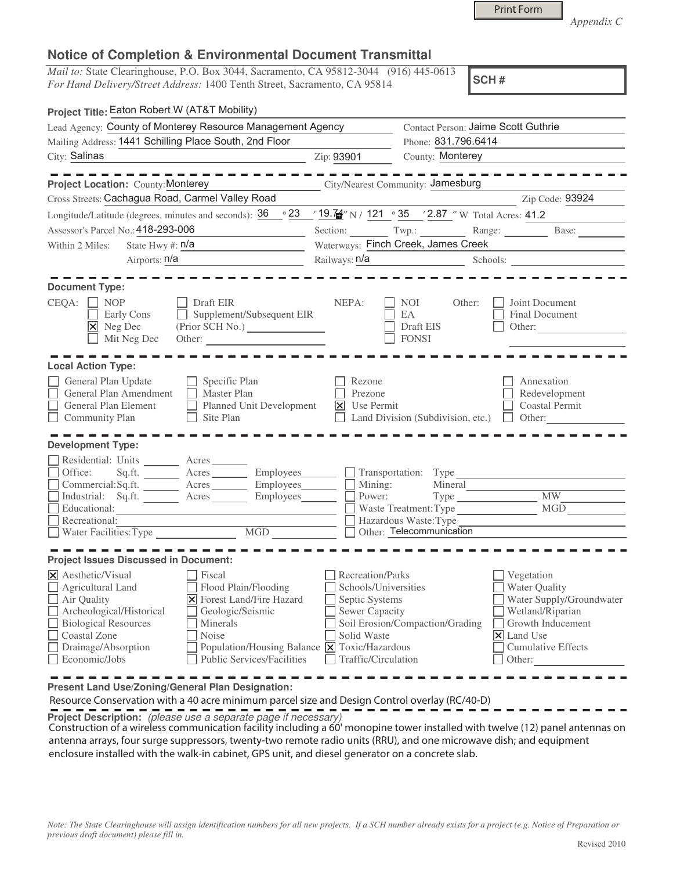|  | <b>Print Form</b> |
|--|-------------------|
|  |                   |

*Appendix C* 

## **Notice of Completion & Environmental Document Transmittal**

*Mail to:* State Clearinghouse, P.O. Box 3044, Sacramento, CA 95812-3044 (916) 445-0613 *For Hand Delivery/Street Address:* 1400 Tenth Street, Sacramento, CA 95814

**SCH #**

| Project Title: Eaton Robert W (AT&T Mobility)                                                                                                                                                                                                                                                                                                                                                                                       |                                                                                                                    |                                                  |                                                                                                                                                                                                                                                |
|-------------------------------------------------------------------------------------------------------------------------------------------------------------------------------------------------------------------------------------------------------------------------------------------------------------------------------------------------------------------------------------------------------------------------------------|--------------------------------------------------------------------------------------------------------------------|--------------------------------------------------|------------------------------------------------------------------------------------------------------------------------------------------------------------------------------------------------------------------------------------------------|
| Lead Agency: County of Monterey Resource Management Agency                                                                                                                                                                                                                                                                                                                                                                          |                                                                                                                    | Contact Person: Jaime Scott Guthrie              |                                                                                                                                                                                                                                                |
| Mailing Address: 1441 Schilling Place South, 2nd Floor                                                                                                                                                                                                                                                                                                                                                                              |                                                                                                                    | Phone: 831.796.6414                              |                                                                                                                                                                                                                                                |
| City: Salinas                                                                                                                                                                                                                                                                                                                                                                                                                       | Zip: 93901                                                                                                         | County: Monterey                                 |                                                                                                                                                                                                                                                |
|                                                                                                                                                                                                                                                                                                                                                                                                                                     |                                                                                                                    |                                                  |                                                                                                                                                                                                                                                |
| <b>Project Location: County: Monterey</b>                                                                                                                                                                                                                                                                                                                                                                                           |                                                                                                                    | City/Nearest Community: Jamesburg                |                                                                                                                                                                                                                                                |
| Cross Streets: Cachagua Road, Carmel Valley Road                                                                                                                                                                                                                                                                                                                                                                                    |                                                                                                                    |                                                  | Zip Code: 93924                                                                                                                                                                                                                                |
| Longitude/Latitude (degrees, minutes and seconds): $36 \degree 23$ / $19.74$ N/ 121 $\degree 35$ / 2.87 " W Total Acres: 41.2                                                                                                                                                                                                                                                                                                       |                                                                                                                    |                                                  |                                                                                                                                                                                                                                                |
| Assessor's Parcel No.: 418-293-006                                                                                                                                                                                                                                                                                                                                                                                                  |                                                                                                                    |                                                  | Section: Twp.: Range: Base:                                                                                                                                                                                                                    |
| State Hwy #: $n/a$<br>Within 2 Miles:                                                                                                                                                                                                                                                                                                                                                                                               |                                                                                                                    | Waterways: Finch Creek, James Creek              |                                                                                                                                                                                                                                                |
| Airports: n/a                                                                                                                                                                                                                                                                                                                                                                                                                       | Railways: n/a                                                                                                      |                                                  | Schools:                                                                                                                                                                                                                                       |
| <b>Document Type:</b>                                                                                                                                                                                                                                                                                                                                                                                                               |                                                                                                                    |                                                  |                                                                                                                                                                                                                                                |
| $CEQA: \Box NP$<br>Draft EIR<br>Supplement/Subsequent EIR<br>Early Cons<br>П<br>X Neg Dec<br>(Prior SCH No.)<br>Mit Neg Dec<br>Other:                                                                                                                                                                                                                                                                                               | NEPA:                                                                                                              | NOI<br>Other:<br>EA<br>Draft EIS<br><b>FONSI</b> | Joint Document<br>Final Document<br>Other:                                                                                                                                                                                                     |
| <b>Local Action Type:</b>                                                                                                                                                                                                                                                                                                                                                                                                           |                                                                                                                    |                                                  |                                                                                                                                                                                                                                                |
| General Plan Update<br>Specific Plan<br>General Plan Amendment<br>$\Box$<br><b>Master Plan</b><br>$\Box$<br>Planned Unit Development<br>General Plan Element<br>П<br>$\Box$ Site Plan<br>$\Box$ Community Plan<br><b>Development Type:</b>                                                                                                                                                                                          | Rezone<br>Prezone<br>$\vert\overline{\mathsf{x}}\vert$ Use Permit                                                  | Land Division (Subdivision, etc.) $\Box$ Other:  | Annexation<br>Redevelopment<br><b>Coastal Permit</b>                                                                                                                                                                                           |
| Residential: Units ________ Acres _______                                                                                                                                                                                                                                                                                                                                                                                           |                                                                                                                    |                                                  |                                                                                                                                                                                                                                                |
| Office:<br>Sq.ft. _________ Acres __________ Employees________                                                                                                                                                                                                                                                                                                                                                                      |                                                                                                                    | Transportation: Type                             |                                                                                                                                                                                                                                                |
| Commercial:Sq.ft. ______ Acres _______ Employees ______                                                                                                                                                                                                                                                                                                                                                                             | Mining:                                                                                                            | Mineral                                          |                                                                                                                                                                                                                                                |
| Industrial: Sq.ft. <u>Acres</u> Acres Employees                                                                                                                                                                                                                                                                                                                                                                                     | Power:                                                                                                             |                                                  | <b>MW</b><br>MGD                                                                                                                                                                                                                               |
| Educational:<br>Recreational:                                                                                                                                                                                                                                                                                                                                                                                                       |                                                                                                                    | Waste Treatment: Type<br>Hazardous Waste: Type   |                                                                                                                                                                                                                                                |
|                                                                                                                                                                                                                                                                                                                                                                                                                                     | Other: Telecommunication                                                                                           |                                                  |                                                                                                                                                                                                                                                |
|                                                                                                                                                                                                                                                                                                                                                                                                                                     |                                                                                                                    |                                                  |                                                                                                                                                                                                                                                |
| <b>Project Issues Discussed in Document:</b>                                                                                                                                                                                                                                                                                                                                                                                        |                                                                                                                    |                                                  |                                                                                                                                                                                                                                                |
| $\times$ Aesthetic/Visual<br>Fiscal<br>$\Box$ Agricultural Land<br>Flood Plain/Flooding<br>Air Quality<br><b>X</b> Forest Land/Fire Hazard<br>Geologic/Seismic<br>$\Box$ Archeological/Historical<br>Biological Resources<br><b>Minerals</b><br>Coastal Zone<br>Noise<br>$\Box$ Drainage/Absorption<br>Population/Housing Balance $\boxed{\mathsf{X}}$ Toxic/Hazardous<br>$\Box$ Economic/Jobs<br><b>Public Services/Facilities</b> | Recreation/Parks<br>Schools/Universities<br>Septic Systems<br>Sewer Capacity<br>Solid Waste<br>Traffic/Circulation | Soil Erosion/Compaction/Grading                  | Vegetation<br>Water Quality<br>Water Supply/Groundwater<br>Wetland/Riparian<br>Growth Inducement<br>$\vert\mathsf{X}\vert$ Land Use<br><b>Cumulative Effects</b><br>Other: $\frac{1}{\sqrt{1-\frac{1}{2}}\cdot\frac{1}{\sqrt{1-\frac{1}{2}}}}$ |

**Present Land Use/Zoning/General Plan Designation:**

Resource Conservation with a 40 acre minimum parcel size and Design Control overlay (RC/40-D)

**Project Description:** (please use a separate page if necessary)

 Construction of a wireless communication facility including a 60' monopine tower installed with twelve (12) panel antennas on antenna arrays, four surge suppressors, twenty-two remote radio units (RRU), and one microwave dish; and equipment enclosure installed with the walk-in cabinet, GPS unit, and diesel generator on a concrete slab.